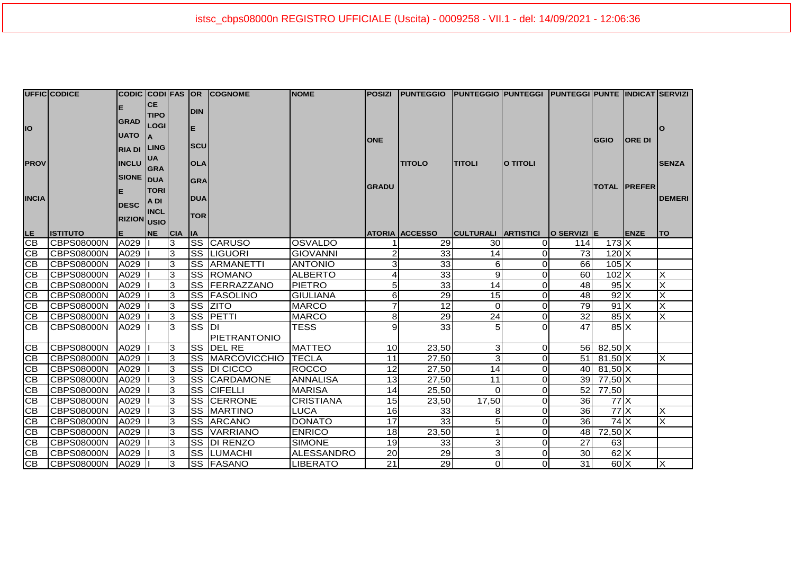| UFFIC CODICE                       |                                 |                            |             |                           |            | CODIC CODI FAS OR COGNOME        | <b>NOME</b>                 |                            | Posizi  Punteggio  Punteggio Punteggi  Punteggi Punte  Indicat Servizi |                                 |                      |                  |                               |                     |               |
|------------------------------------|---------------------------------|----------------------------|-------------|---------------------------|------------|----------------------------------|-----------------------------|----------------------------|------------------------------------------------------------------------|---------------------------------|----------------------|------------------|-------------------------------|---------------------|---------------|
|                                    |                                 |                            | <b>CE</b>   |                           | <b>DIN</b> |                                  |                             |                            |                                                                        |                                 |                      |                  |                               |                     |               |
|                                    |                                 | <b>TIPO</b><br><b>GRAD</b> |             |                           |            |                                  |                             |                            |                                                                        |                                 |                      |                  |                               |                     |               |
| <b>IO</b>                          |                                 |                            | <b>LOGI</b> |                           | E          |                                  |                             |                            |                                                                        |                                 |                      |                  |                               |                     |               |
|                                    |                                 | <b>UATO</b>                | <b>IA</b>   |                           |            |                                  |                             | <b>ONE</b>                 |                                                                        |                                 |                      |                  | <b>GGIO</b>                   | <b>ORE DI</b>       |               |
|                                    |                                 | <b>RIA DI LING</b>         |             |                           | <b>SCU</b> |                                  |                             |                            |                                                                        |                                 |                      |                  |                               |                     |               |
| <b>PROV</b>                        |                                 | <b>INCLU</b>               | <b>UA</b>   |                           | <b>OLA</b> |                                  |                             |                            | <b>TITOLO</b>                                                          | <b>TITOLI</b>                   | <b>O TITOLI</b>      |                  |                               |                     | <b>SENZA</b>  |
|                                    |                                 |                            | <b>GRA</b>  |                           |            |                                  |                             |                            |                                                                        |                                 |                      |                  |                               |                     |               |
|                                    |                                 | <b>SIONE</b> DUA           |             |                           | <b>GRA</b> |                                  |                             | <b>GRADU</b>               |                                                                        |                                 |                      |                  |                               | <b>TOTAL PREFER</b> |               |
| <b>INCIA</b>                       |                                 |                            | <b>TORI</b> |                           | <b>DUA</b> |                                  |                             |                            |                                                                        |                                 |                      |                  |                               |                     | <b>DEMERI</b> |
|                                    |                                 | <b>DESC</b>                | A DI        |                           |            |                                  |                             |                            |                                                                        |                                 |                      |                  |                               |                     |               |
|                                    |                                 | <b>RIZION</b> USIO         | <b>INCL</b> |                           | <b>TOR</b> |                                  |                             |                            |                                                                        |                                 |                      |                  |                               |                     |               |
|                                    |                                 |                            |             |                           |            |                                  |                             |                            |                                                                        |                                 |                      |                  |                               |                     |               |
| LE _                               | <b>ISTITUTO</b>                 |                            | <b>NE</b>   | <sub>CIA</sub>            | <b>IA</b>  |                                  |                             |                            | <b>ATORIA ACCESSO</b>                                                  | CULTURALI ARTISTICI O SERVIZI E |                      |                  |                               | <b>ENZE</b>         | l TO          |
| $\overline{CB}$<br>$\overline{CB}$ | <b>CBPS08000N</b>               | A029                       |             | 3                         |            | <b>SS CARUSO</b>                 | <b>OSVALDO</b>              | $\overline{2}$             | 29<br>33                                                               | 30 <sub>0</sub><br>14           | $\overline{0}$       | 114<br><b>73</b> | $173$ $X$                     |                     |               |
| CB                                 | CBPS08000N                      | A029                       |             | 3                         |            | <b>SS LIGUORI</b>                | <b>GIOVANNI</b>             | $\overline{3}$             | 33                                                                     |                                 | $\overline{0}$       |                  | $120$ $X$                     |                     |               |
| CB                                 | <b>CBPS08000N</b>               | A029                       |             | 3                         | <b>SS</b>  | ARMANETTI<br>SS ROMANO           | <b>ANTONIO</b>              |                            | 33                                                                     | 61                              | $\Omega$             | 66<br>60         | $105$ $X$                     |                     | X             |
|                                    | CBPS08000N                      | A029                       |             | 3                         |            |                                  | <b>ALBERTO</b>              | $\overline{4}$             |                                                                        | 9                               | 0                    |                  | $102$ $X$                     |                     |               |
| CB                                 | <b>CBPS08000N</b>               | A029                       |             | 3                         |            | <b>SS FERRAZZANO</b>             | <b>PIETRO</b>               | 5 <sub>5</sub>             | 33                                                                     | 14                              | ΟI                   | 48               | $95 \times$                   |                     | X             |
| CB                                 | CBPS08000N                      | A029                       |             | 3                         |            | SS FASOLINO                      | <b>GIULIANA</b>             | $6 \mid$<br>$\overline{7}$ | 29                                                                     | 15<br>$\Omega$                  | $\overline{0}$       | 48               | $92\text{X}$                  |                     | X<br>X        |
| CB<br>$\overline{CB}$              | <b>CBPS08000N</b>               | A029                       |             | 3<br>3                    |            | <b>SS ZITO</b>                   | <b>MARCO</b>                |                            | 12                                                                     |                                 | $\overline{O}$       | 79               | 91X                           |                     |               |
| $\overline{CB}$                    | <b>CBPS08000N</b><br>CBPS08000N | A029                       |             | 3                         | <b>SS</b>  | <b>SS PETTI</b><br>IDI.          | <b>MARCO</b><br><b>TESS</b> | 8<br>9                     | 29<br>33                                                               | 24                              | $\overline{0}$<br>ΩI | 32<br>47         | $85\text{X}$<br>$85\text{X}$  |                     | X             |
|                                    |                                 | A029                       |             |                           |            |                                  |                             |                            |                                                                        |                                 |                      |                  |                               |                     |               |
| CB                                 | CBPS08000N                      |                            |             | 3                         |            | PIETRANTONIO<br><b>SS DEL RE</b> | <b>MATTEO</b>               | 10 <sup>1</sup>            | 23,50                                                                  | $\overline{3}$                  | $\overline{O}$       |                  |                               |                     |               |
| $\overline{CB}$                    | <b>CBPS08000N</b>               | A029<br>A029               |             | 3                         |            | <b>SS MARCOVICCHIO</b>           | <b>TECLA</b>                | 11                         | 27,50                                                                  | $\overline{3}$                  | $\overline{O}$       |                  | 56 82,50 X<br>51 81,50 X      |                     | X             |
| CB                                 | <b>CBPS08000N</b>               | A029                       |             | 3                         |            | SS DI CICCO                      | <b>ROCCO</b>                | 12                         | 27,50                                                                  | 14                              | $\overline{O}$       |                  | 40 81,50 X                    |                     |               |
| CB                                 | <b>CBPS08000N</b>               | A029                       |             | 3                         | lss        | <b>CARDAMONE</b>                 | <b>ANNALISA</b>             | 13                         | 27,50                                                                  | 11                              | $\overline{O}$       |                  | 39 77,50 X                    |                     |               |
| CB                                 | CBPS08000N                      | A029                       |             | 3                         | lss        | <b>CIFELLI</b>                   | <b>MARISA</b>               | 14                         | 25,50                                                                  | $\Omega$                        | $\overline{O}$       |                  | 52 77,50                      |                     |               |
| CB                                 | <b>CBPS08000N</b>               | A029                       |             | 3                         | <b>SS</b>  | <b>CERRONE</b>                   | <b>CRISTIANA</b>            | 15                         | 23,50                                                                  | 17,50                           | $\overline{O}$       | 36               | $77$ $X$                      |                     |               |
| CB                                 | <b>CBPS08000N</b>               | A029                       |             | 3                         | <b>SS</b>  | <b>MARTINO</b>                   | <b>LUCA</b>                 | 16 <sup>1</sup>            | 33                                                                     | 8                               | $\Omega$             | 36               | $77$ $\overline{\phantom{1}}$ |                     | X             |
| CB                                 | <b>CBPS08000N</b>               | A029                       |             | $\ensuremath{\mathsf{3}}$ | <b>SS</b>  | ARCANO                           | <b>DONATO</b>               | 17                         | 33                                                                     | 5 <sup>5</sup>                  | ΟI                   | 36               | $74$ $X$                      |                     | X             |
| CB                                 | <b>CBPS08000N</b>               | A029                       |             | 3                         | <b>SS</b>  | <b>VARRIANO</b>                  | <b>ENRICO</b>               | 18                         | 23,50                                                                  |                                 | $\overline{O}$       |                  | 48 72,50 X                    |                     |               |
| CB                                 | <b>CBPS08000N</b>               | A029                       |             | 3                         | <b>SS</b>  | DI RENZO                         | <b>SIMONE</b>               | 19                         | 33                                                                     | $\overline{3}$                  | $\overline{O}$       | 27               | 63                            |                     |               |
| CB                                 | CBPS08000N                      | A029                       |             | 3                         |            | ISS ILUMACHI                     | ALESSANDRO                  | 20                         | 29                                                                     | 31                              | $\overline{0}$       | 30               | $62\text{X}$                  |                     |               |
| CB<br><b>CBPS08000N</b>            | A029                            |                            |             |                           |            |                                  |                             |                            |                                                                        |                                 |                      |                  |                               |                     |               |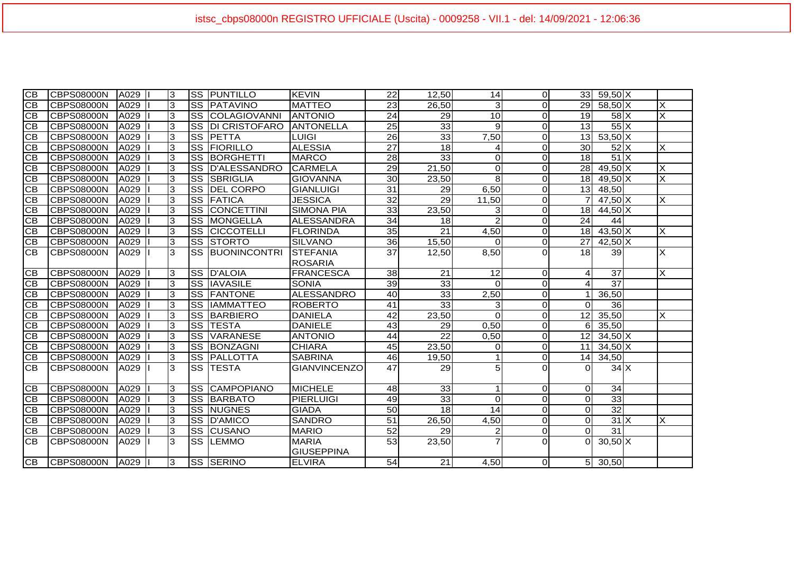| <b>CB</b>       | CBPS08000N        | A029    | 3              |                        | <b>SS PUNTILLO</b>   | KEVIN               | 22              | 12,50           | 14             | $\overline{0}$ | 33 <sup>1</sup> | 59,50 X                      |                         |
|-----------------|-------------------|---------|----------------|------------------------|----------------------|---------------------|-----------------|-----------------|----------------|----------------|-----------------|------------------------------|-------------------------|
| $\overline{CB}$ | CBPS08000N        | A029    | 3              | SS                     | PATAVINO             | <b>MATTEO</b>       | 23              | 26,50           | 3              | $\Omega$       | 29              | $58,50$ X                    | IX                      |
| СB              | CBPS08000N        | A029    | 3              | SS                     | COLAGIOVANNI         | <b>ANTONIO</b>      | $\overline{24}$ | 29              | 10             | $\Omega$       | 19              | $58$ $X$                     | $\overline{\mathsf{x}}$ |
| СB              | CBPS08000N        | A029    | 3              | <b>SS</b>              | <b>DI CRISTOFARO</b> | <b>ANTONELLA</b>    | $\overline{25}$ | 33              | 9              | $\overline{O}$ | $\overline{13}$ | $55\overline{\times}$        |                         |
| CB              | CBPS08000N        | A029    | 3              | SS                     | <b>IPETTA</b>        | <b>LUIGI</b>        | 26              | 33              | 7,50           | $\overline{O}$ | 13              | $53,50$ X                    |                         |
| <b>CB</b>       | CBPS08000N        | A029    | ာ              | $\overline{\text{ss}}$ | FIORILLO             | <b>ALESSIA</b>      | $\overline{27}$ | 18              |                | $\overline{O}$ | $\overline{30}$ | $52$ $X$                     | X                       |
| CB              | CBPS08000N        | A029    | 3              | SS                     | BORGHETTI            | <b>MARCO</b>        | 28              | 33              | 0              | $\overline{O}$ | 18              | $51$ $X$                     |                         |
| СB              | <b>CBPS08000N</b> | A029    | $\overline{3}$ | SS                     | <b>D'ALESSANDRO</b>  | <b>CARMELA</b>      | 29              | 21,50           | 0              | $\Omega$       | 28              | $49,50$ X                    | ×                       |
| <b>CB</b>       | CBPS08000N        | A029    | $\overline{3}$ | SS                     | <b>SBRIGLIA</b>      | <b>GIOVANNA</b>     | 30              | 23,50           | 8              | $\Omega$       | 18              | $49,50$ X                    | $\overline{\mathsf{x}}$ |
| <b>CB</b>       | CBPS08000N        | A029    | 3              | SS                     | <b>DEL CORPO</b>     | <b>GIANLUIGI</b>    | $\overline{31}$ | 29              | 6,50           | $\Omega$       | 13              | 48,50                        |                         |
| <b>CB</b>       | CBPS08000N        | A029    | 3              | SS                     | FATICA               | <b>JESSICA</b>      | 32              | 29              | 11,50          | $\Omega$       |                 | $47,50$ X                    | X                       |
| <b>CB</b>       | CBPS08000N        | A029    | $\overline{3}$ | SS                     | CONCETTINI           | <b>SIMONA PIA</b>   | 33              | 23,50           | 3              | $\Omega$       | 18              | $44,50$ X                    |                         |
| <b>CB</b>       | CBPS08000N        | A029    | $\overline{3}$ | SS                     | MONGELLA             | <b>ALESSANDRA</b>   | 34              | 18              | $\overline{2}$ | $\overline{0}$ | 24              | 44                           |                         |
| <b>CB</b>       | CBPS08000N        | A029    | 3              | SS                     | <b>CICCOTELLI</b>    | <b>FLORINDA</b>     | 35              | $\overline{21}$ | 4,50           | $\Omega$       | 18              | $43,50$ X                    | X                       |
| CB              | CBPS08000N        | A029    | 3              | SS                     | <b>STORTO</b>        | <b>SILVANO</b>      | 36              | 15,50           | 0              | $\Omega$       | 27              | $42,50\overline{\mathrm{X}}$ |                         |
| <b>CB</b>       | <b>CBPS08000N</b> | A029    | 3              | SS                     | <b>BUONINCONTRI</b>  | <b>STEFANIA</b>     | $\overline{37}$ | 12,50           | 8,50           | $\Omega$       | $\overline{18}$ | 39                           | $\times$                |
|                 |                   |         |                |                        |                      | <b>ROSARIA</b>      |                 |                 |                |                |                 |                              |                         |
| IСB             | CBPS08000N        | A029    | 3              |                        | SS D'ALOIA           | <b>FRANCESCA</b>    | 38              | 21              | 12             | $\Omega$       | 4               | 37                           | X                       |
| <b>CB</b>       | <b>CBPS08000N</b> | A029    | ادی            |                        | <b>SS IIAVASILE</b>  | <b>SONIA</b>        | 39              | 33              | $\Omega$       | $\overline{O}$ | 4               | $\overline{37}$              |                         |
| CВ              | CBPS08000N        | A029    | 3              |                        | <b>SS FANTONE</b>    | ALESSANDRO          | 40              | 33              | 2,50           | $\overline{0}$ | 1               | 36,50                        |                         |
| СB              | CBPS08000N        | A029    | 3              | SS                     | <b>IAMMATTEO</b>     | <b>ROBERTO</b>      | 41              | 33              | 3              | $\overline{O}$ | $\Omega$        | 36                           |                         |
| <b>CB</b>       | CBPS08000N        | A029    | 3              | SS                     | <b>BARBIERO</b>      | <b>DANIELA</b>      | 42              | 23,50           | $\Omega$       | $\Omega$       | 12              | 35,50                        | X                       |
| <b>CB</b>       | <b>CBPS08000N</b> | A029    | ာ              | $\overline{\text{ss}}$ | <b>TESTA</b>         | <b>DANIELE</b>      | 43              | 29              | 0,50           | $\overline{O}$ | 6               | 35,50                        |                         |
| СB              | CBPS08000N        | A029    | 3              | SS                     | <b>VARANESE</b>      | <b>ANTONIO</b>      | 44              | $\overline{22}$ | 0,50           | $\overline{0}$ | 12              | $34,50$ X                    |                         |
| <b>CB</b>       | CBPS08000N        | A029    | ာ              | SS                     | BONZAGNI             | <b>CHIARA</b>       | 45              | 23,50           | 0              | $\overline{0}$ | 11              | $34,50$ X                    |                         |
| CB              | CBPS08000N        | A029    | ဇာ             | SS                     | <b>PALLOTTA</b>      | <b>SABRINA</b>      | $\overline{46}$ | 19,50           |                | $\Omega$       | 14              | 34,50                        |                         |
| <b>CB</b>       | <b>CBPS08000N</b> | A029    | 3              | SS                     | <b>TESTA</b>         | <b>GIANVINCENZO</b> | 47              | $\overline{29}$ | 5              | $\Omega$       | 0               | $34$ $X$                     |                         |
|                 |                   |         |                |                        |                      |                     |                 |                 |                |                |                 |                              |                         |
| <b>CB</b>       | CBPS08000N        | A029    | $\overline{3}$ | SS                     | CAMPOPIANO           | <b>MICHELE</b>      | 48              | 33              |                | $\Omega$       | 0               | 34                           |                         |
| IСB             | CBPS08000N        | A029    | 3              | <b>SS</b>              | <b>IBARBATO</b>      | <b>PIERLUIGI</b>    | 49              | 33              | 0              | $\Omega$       | 0               | 33                           |                         |
| СB              | CBPS08000N        | A029    | 3              | SS                     | <b>NUGNES</b>        | <b>GIADA</b>        | 50              | 18              | 14             | $\overline{O}$ | 0               | 32                           |                         |
| СB              | CBPS08000N        | A029    | 3              | <b>SS</b>              | D'AMICO              | <b>SANDRO</b>       | $\overline{51}$ | 26,50           | 4,50           | $\overline{O}$ | 0               | $31 \times$                  | ΙX                      |
| <b>CB</b>       | CBPS08000N        | A029    | ာ              | $\overline{\text{ss}}$ | <b>CUSANO</b>        | <b>MARIO</b>        | $\overline{52}$ | 29              | 2              | $\overline{O}$ | $\Omega$        | 31                           |                         |
| <b>CB</b>       | CBPS08000N        | A029    | 3              | <b>SS</b>              | <b>ILEMMO</b>        | <b>MARIA</b>        | 53              | 23,50           |                | $\Omega$       | $\Omega$        | $30,50$ $\times$             |                         |
|                 |                   |         |                |                        |                      | <b>GIUSEPPINA</b>   |                 |                 |                |                |                 |                              |                         |
| ICB .           | ICBPS08000N       | A029 II | l3.            |                        | <b>SS ISERINO</b>    | <b>ELVIRA</b>       | 54              | 21              | 4.50           | ΟI             |                 | 5 30,50                      |                         |